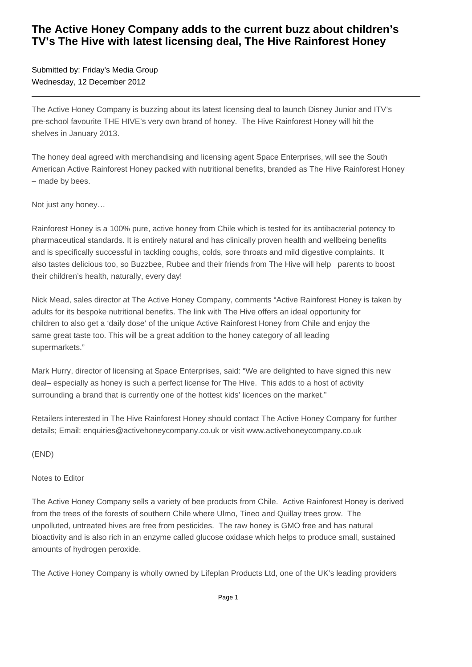## **The Active Honey Company adds to the current buzz about children's TV's The Hive with latest licensing deal, The Hive Rainforest Honey**

Submitted by: Friday's Media Group Wednesday, 12 December 2012

The Active Honey Company is buzzing about its latest licensing deal to launch Disney Junior and ITV's pre-school favourite THE HIVE's very own brand of honey. The Hive Rainforest Honey will hit the shelves in January 2013.

The honey deal agreed with merchandising and licensing agent Space Enterprises, will see the South American Active Rainforest Honey packed with nutritional benefits, branded as The Hive Rainforest Honey – made by bees.

Not just any honey...

Rainforest Honey is a 100% pure, active honey from Chile which is tested for its antibacterial potency to pharmaceutical standards. It is entirely natural and has clinically proven health and wellbeing benefits and is specifically successful in tackling coughs, colds, sore throats and mild digestive complaints. It also tastes delicious too, so Buzzbee, Rubee and their friends from The Hive will help parents to boost their children's health, naturally, every day!

Nick Mead, sales director at The Active Honey Company, comments "Active Rainforest Honey is taken by adults for its bespoke nutritional benefits. The link with The Hive offers an ideal opportunity for children to also get a 'daily dose' of the unique Active Rainforest Honey from Chile and enjoy the same great taste too. This will be a great addition to the honey category of all leading supermarkets."

Mark Hurry, director of licensing at Space Enterprises, said: "We are delighted to have signed this new deal– especially as honey is such a perfect license for The Hive. This adds to a host of activity surrounding a brand that is currently one of the hottest kids' licences on the market."

Retailers interested in The Hive Rainforest Honey should contact The Active Honey Company for further details; Email: enquiries@activehoneycompany.co.uk or visit www.activehoneycompany.co.uk

(END)

## Notes to Editor

The Active Honey Company sells a variety of bee products from Chile. Active Rainforest Honey is derived from the trees of the forests of southern Chile where Ulmo, Tineo and Quillay trees grow. The unpolluted, untreated hives are free from pesticides. The raw honey is GMO free and has natural bioactivity and is also rich in an enzyme called glucose oxidase which helps to produce small, sustained amounts of hydrogen peroxide.

The Active Honey Company is wholly owned by Lifeplan Products Ltd, one of the UK's leading providers